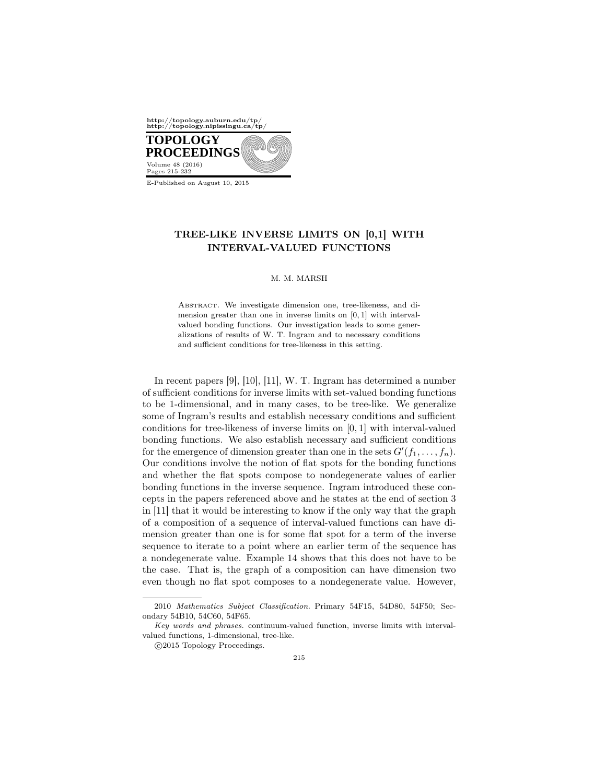

E-Published on August 10, 2015

# TREE-LIKE INVERSE LIMITS ON [0,1] WITH INTERVAL-VALUED FUNCTIONS

### M. M. MARSH

ABSTRACT. We investigate dimension one, tree-likeness, and dimension greater than one in inverse limits on [0*,* 1] with intervalvalued bonding functions. Our investigation leads to some generalizations of results of W. T. Ingram and to necessary conditions and sufficient conditions for tree-likeness in this setting.

In recent papers [9], [10], [11], W. T. Ingram has determined a number of sufficient conditions for inverse limits with set-valued bonding functions to be 1-dimensional, and in many cases, to be tree-like. We generalize some of Ingram's results and establish necessary conditions and sufficient conditions for tree-likeness of inverse limits on [0*,* 1] with interval-valued bonding functions. We also establish necessary and sufficient conditions for the emergence of dimension greater than one in the sets  $G'(f_1, \ldots, f_n)$ . Our conditions involve the notion of flat spots for the bonding functions and whether the flat spots compose to nondegenerate values of earlier bonding functions in the inverse sequence. Ingram introduced these concepts in the papers referenced above and he states at the end of section 3 in [11] that it would be interesting to know if the only way that the graph of a composition of a sequence of interval-valued functions can have dimension greater than one is for some flat spot for a term of the inverse sequence to iterate to a point where an earlier term of the sequence has a nondegenerate value. Example 14 shows that this does not have to be the case. That is, the graph of a composition can have dimension two even though no flat spot composes to a nondegenerate value. However,

<sup>2010</sup> *Mathematics Subject Classification.* Primary 54F15, 54D80, 54F50; Secondary 54B10, 54C60, 54F65.

*Key words and phrases.* continuum-valued function, inverse limits with intervalvalued functions, 1-dimensional, tree-like.

 $©2015 Topology Proceedings.$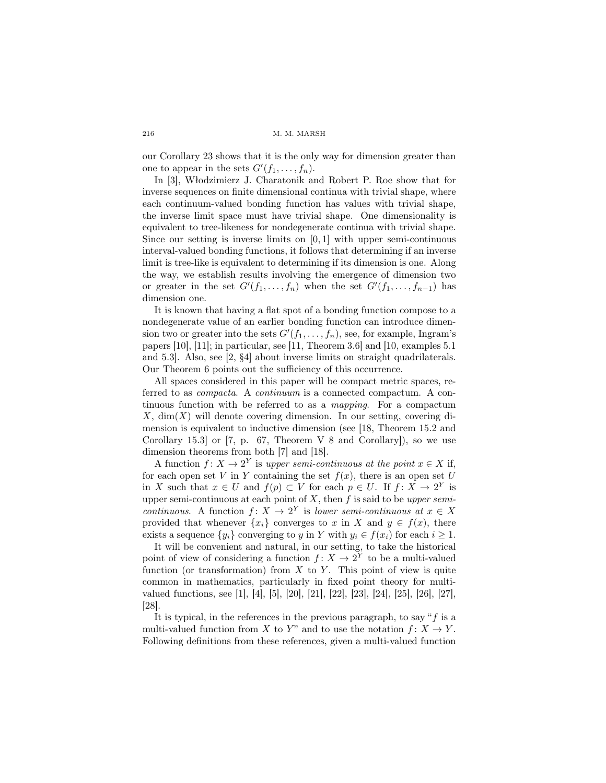our Corollary 23 shows that it is the only way for dimension greater than one to appear in the sets  $G'(f_1, \ldots, f_n)$ .

In [3], Włodzimierz J. Charatonik and Robert P. Roe show that for inverse sequences on finite dimensional continua with trivial shape, where each continuum-valued bonding function has values with trivial shape, the inverse limit space must have trivial shape. One dimensionality is equivalent to tree-likeness for nondegenerate continua with trivial shape. Since our setting is inverse limits on [0*,* 1] with upper semi-continuous interval-valued bonding functions, it follows that determining if an inverse limit is tree-like is equivalent to determining if its dimension is one. Along the way, we establish results involving the emergence of dimension two or greater in the set  $G'(f_1, \ldots, f_n)$  when the set  $G'(f_1, \ldots, f_{n-1})$  has dimension one.

It is known that having a flat spot of a bonding function compose to a nondegenerate value of an earlier bonding function can introduce dimension two or greater into the sets  $G'(f_1, \ldots, f_n)$ , see, for example, Ingram's papers [10], [11]; in particular, see [11, Theorem 3.6] and [10, examples 5.1 and 5.3]. Also, see [2, §4] about inverse limits on straight quadrilaterals. Our Theorem 6 points out the sufficiency of this occurrence.

All spaces considered in this paper will be compact metric spaces, referred to as *compacta*. A *continuum* is a connected compactum. A continuous function with be referred to as a *mapping*. For a compactum  $X$ , dim( $X$ ) will denote covering dimension. In our setting, covering dimension is equivalent to inductive dimension (see [18, Theorem 15.2 and Corollary 15.3] or [7, p. 67, Theorem V 8 and Corollary]), so we use dimension theorems from both [7] and [18].

A function  $f: X \to 2^Y$  is *upper semi-continuous at the point*  $x \in X$  if, for each open set *V* in *Y* containing the set  $f(x)$ , there is an open set *U* in *X* such that  $x \in U$  and  $f(p) \subset V$  for each  $p \in U$ . If  $f: X \to 2^Y$  is upper semi-continuous at each point of *X*, then *f* is said to be *upper semicontinuous.* A function  $f: X \to 2^Y$  is *lower semi-continuous at*  $x \in X$ provided that whenever  $\{x_i\}$  converges to *x* in *X* and  $y \in f(x)$ , there exists a sequence  $\{y_i\}$  converging to *y* in *Y* with  $y_i \in f(x_i)$  for each  $i \geq 1$ .

It will be convenient and natural, in our setting, to take the historical point of view of considering a function  $f: X \to 2^Y$  to be a multi-valued function (or transformation) from  $X$  to  $Y$ . This point of view is quite common in mathematics, particularly in fixed point theory for multivalued functions, see [1], [4], [5], [20], [21], [22], [23], [24], [25], [26], [27], [28].

It is typical, in the references in the previous paragraph, to say "*f* is a multi-valued function from *X* to *Y*" and to use the notation  $f: X \to Y$ . Following definitions from these references, given a multi-valued function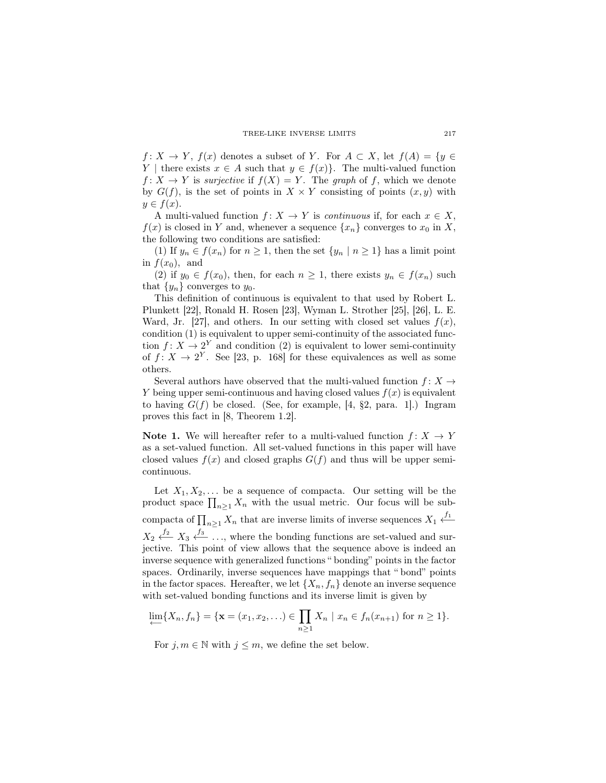*f* : *X*  $\rightarrow$  *Y*, *f*(*x*) denotes a subset of *Y*. For *A*  $\subset$  *X*, let *f*(*A*) = {*y*  $\in$ *Y* | there exists  $x \in A$  such that  $y \in f(x)$ }. The multi-valued function  $f: X \to Y$  is *surjective* if  $f(X) = Y$ . The *graph* of *f*, which we denote by  $G(f)$ , is the set of points in  $X \times Y$  consisting of points  $(x, y)$  with  $y \in f(x)$ .

A multi-valued function  $f: X \to Y$  is *continuous* if, for each  $x \in X$ ,  $f(x)$  is closed in *Y* and, whenever a sequence  $\{x_n\}$  converges to  $x_0$  in *X*, the following two conditions are satisfied:

(1) If  $y_n \in f(x_n)$  for  $n \geq 1$ , then the set  $\{y_n \mid n \geq 1\}$  has a limit point in  $f(x_0)$ , and

(2) if  $y_0 \in f(x_0)$ , then, for each  $n \geq 1$ , there exists  $y_n \in f(x_n)$  such that  $\{y_n\}$  converges to  $y_0$ .

This definition of continuous is equivalent to that used by Robert L. Plunkett [22], Ronald H. Rosen [23], Wyman L. Strother [25], [26], L. E. Ward, Jr. [27], and others. In our setting with closed set values  $f(x)$ , condition (1) is equivalent to upper semi-continuity of the associated function  $f: X \to 2^Y$  and condition (2) is equivalent to lower semi-continuity of  $f: X \to 2^Y$ . See [23, p. 168] for these equivalences as well as some others.

Several authors have observed that the multi-valued function  $f: X \rightarrow$ *Y* being upper semi-continuous and having closed values *f*(*x*) is equivalent to having  $G(f)$  be closed. (See, for example, [4, §2, para. 1].) Ingram proves this fact in [8, Theorem 1.2].

Note 1. We will hereafter refer to a multi-valued function  $f: X \to Y$ as a set-valued function. All set-valued functions in this paper will have closed values  $f(x)$  and closed graphs  $G(f)$  and thus will be upper semicontinuous.

Let  $X_1, X_2, \ldots$  be a sequence of compacta. Our setting will be the product space  $\prod_{n\geq 1} X_n$  with the usual metric. Our focus will be subcompacta of  $\prod_{n\geq 1} X_n$  that are inverse limits of inverse sequences  $X_1 \xleftarrow{f_1}$  $X_2 \xleftarrow{f_2} X_3 \xleftarrow{f_3} \dots$ , where the bonding functions are set-valued and surjective. This point of view allows that the sequence above is indeed an inverse sequence with generalized functions " bonding" points in the factor spaces. Ordinarily, inverse sequences have mappings that " bond" points in the factor spaces. Hereafter, we let  $\{X_n, f_n\}$  denote an inverse sequence with set-valued bonding functions and its inverse limit is given by

$$
\lim_{n \to \infty} \{X_n, f_n\} = \{ \mathbf{x} = (x_1, x_2, \ldots) \in \prod_{n \ge 1} X_n \mid x_n \in f_n(x_{n+1}) \text{ for } n \ge 1 \}.
$$

For  $j, m \in \mathbb{N}$  with  $j \leq m$ , we define the set below.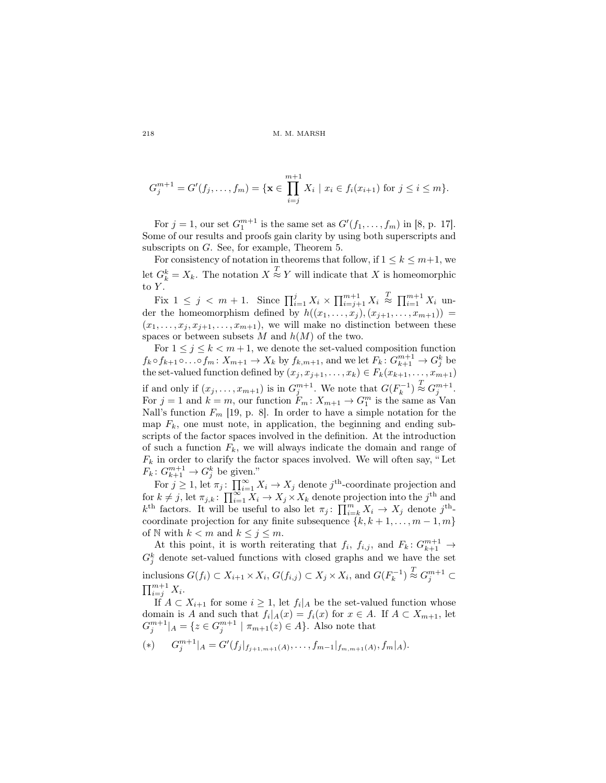$$
G_j^{m+1} = G'(f_j, \dots, f_m) = \{ \mathbf{x} \in \prod_{i=j}^{m+1} X_i \mid x_i \in f_i(x_{i+1}) \text{ for } j \leq i \leq m \}.
$$

For  $j = 1$ , our set  $G_1^{m+1}$  is the same set as  $G'(f_1, ..., f_m)$  in [8, p. 17]. Some of our results and proofs gain clarity by using both superscripts and subscripts on *G*. See, for example, Theorem 5.

For consistency of notation in theorems that follow, if  $1 \leq k \leq m+1$ , we let  $G_k^k = X_k$ . The notation  $X \stackrel{T}{\approx} Y$  will indicate that X is homeomorphic to *Y* .

Fix  $1 \leq j \leq m+1$ . Since  $\prod_{i=1}^{j} X_i \times \prod_{i=j+1}^{m+1} X_i \stackrel{T}{\approx} \prod_{i=1}^{m+1} X_i$  under the homeomorphism defined by  $h((x_1, \ldots, x_j), (x_{j+1}, \ldots, x_{m+1})) =$  $(x_1, \ldots, x_j, x_{j+1}, \ldots, x_{m+1})$ , we will make no distinction between these spaces or between subsets  $M$  and  $h(M)$  of the two.

For  $1 \leq j \leq k < m+1$ , we denote the set-valued composition function  $f_k \circ f_{k+1} \circ \ldots \circ f_m: X_{m+1} \to X_k$  by  $f_{k,m+1}$ , and we let  $F_k: G^{m+1}_{k+1} \to G^k_j$  be the set-valued function defined by  $(x_j, x_{j+1}, \ldots, x_k) \in F_k(x_{k+1}, \ldots, x_{m+1})$ if and only if  $(x_j, \ldots, x_{m+1})$  is in  $G_j^{m+1}$ . We note that  $G(F_k^{-1}) \stackrel{T}{\approx} G_j^{m+1}$ . For  $j = 1$  and  $k = m$ , our function  $F_m: X_{m+1} \to G_1^m$  is the same as Van Nall's function *F<sup>m</sup>* [19, p. 8]. In order to have a simple notation for the map  $F_k$ , one must note, in application, the beginning and ending subscripts of the factor spaces involved in the definition. At the introduction of such a function  $F_k$ , we will always indicate the domain and range of  $F_k$  in order to clarify the factor spaces involved. We will often say, "Let  $F_k: G_{k+1}^{m+1} \to G_j^k$  be given."

For  $j \geq 1$ , let  $\pi_j$ :  $\prod_{i=1}^{\infty} X_i \to X_j$  denote  $j^{\text{th}}$ -coordinate projection and for  $k \neq j$ , let  $\pi_{j,k}$ :  $\prod_{i=1}^{\infty} X_i \rightarrow X_j \times X_k$  denote projection into the *j*<sup>th</sup> and  $k^{\text{th}}$  factors. It will be useful to also let  $\pi_j$ :  $\prod_{i=k}^m X_i \to X_j$  denote  $j^{\text{th}}$ coordinate projection for any finite subsequence  $\{k, k+1, \ldots, m-1, m\}$ of N with  $k < m$  and  $k \leq j \leq m$ .

At this point, it is worth reiterating that  $f_i$ ,  $f_{i,j}$ , and  $F_k$ :  $G_{k+1}^{m+1}$   $\rightarrow$  $G_j^k$  denote set-valued functions with closed graphs and we have the set inclusions  $G(f_i) \subset X_{i+1} \times X_i$ ,  $G(f_{i,j}) \subset X_j \times X_i$ , and  $G(F_k^{-1}) \stackrel{T}{\approx} G_j^{m+1} \subset$  $\prod_{i=j}^{m+1} X_i$ .

If *A* ⊂ *X*<sub>*i*+1</sub> for some *i* ≥ 1, let  $f_i|_A$  be the set-valued function whose domain is *A* and such that  $f_i|_A(x) = f_i(x)$  for  $x \in A$ . If  $A \subset X_{m+1}$ , let  $G_j^{m+1}|_A = \{z \in G_j^{m+1} \mid \pi_{m+1}(z) \in A\}$ . Also note that

(\*) 
$$
G_j^{m+1}|_A = G'(f_j|_{f_{j+1,m+1}(A)}, \ldots, f_{m-1}|_{f_{m,m+1}(A)}, f_m|_A).
$$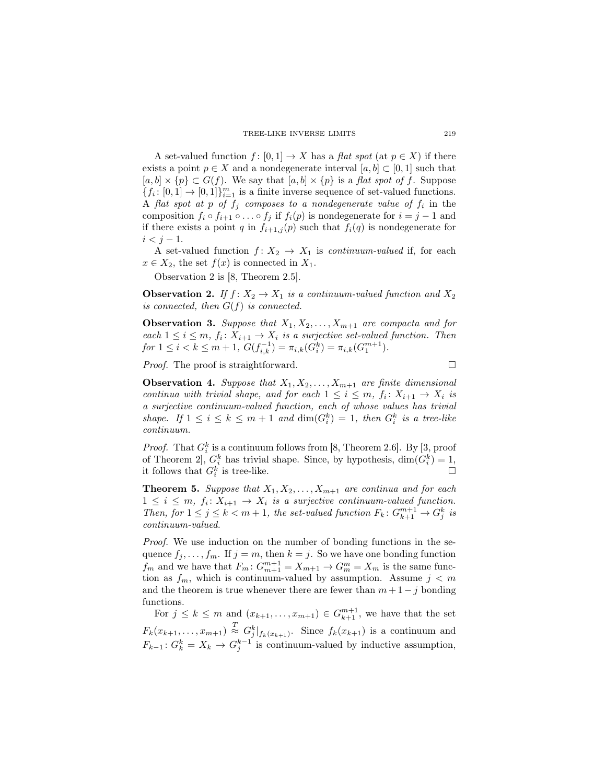A set-valued function  $f : [0,1] \to X$  has a *flat spot* (at  $p \in X$ ) if there exists a point  $p \in X$  and a nondegenerate interval  $[a, b] \subset [0, 1]$  such that  $[a, b] \times \{p\} \subset G(f)$ . We say that  $[a, b] \times \{p\}$  is a *flat spot of f*. Suppose  ${f_i: [0,1] \rightarrow [0,1]}_{i=1}^m$  is a finite inverse sequence of set-valued functions. A *flat spot at*  $p$  *of*  $f_j$  *composes to a nondegenerate value of*  $f_i$  in the composition  $f_i \circ f_{i+1} \circ \ldots \circ f_j$  if  $f_i(p)$  is nondegenerate for  $i = j - 1$  and if there exists a point *q* in  $f_{i+1,j}(p)$  such that  $f_i(q)$  is nondegenerate for  $i < j-1$ .

A set-valued function  $f: X_2 \to X_1$  is *continuum-valued* if, for each  $x \in X_2$ , the set  $f(x)$  is connected in  $X_1$ .

Observation 2 is [8, Theorem 2.5].

Observation 2. *If*  $f: X_2 \to X_1$  *is a continuum-valued function and*  $X_2$ *is connected, then G*(*f*) *is connected.*

**Observation 3.** Suppose that  $X_1, X_2, \ldots, X_{m+1}$  are compacta and for *each*  $1 \leq i \leq m$ ,  $f_i: X_{i+1} \to X_i$  *is a surjective set-valued function. Then*  $for\ 1 \leq i \leq k \leq m+1,\ G(f_{i,k}^{-1}) = \pi_{i,k}(G_i^k) = \pi_{i,k}(G_1^{m+1}).$ 

*Proof.* The proof is straightforward. □

**Observation 4.** Suppose that  $X_1, X_2, \ldots, X_{m+1}$  are finite dimensional *continua with trivial shape, and for each*  $1 \leq i \leq m$ ,  $f_i: X_{i+1} \to X_i$  *is a surjective continuum-valued function, each of whose values has trivial shape.* If  $1 \leq i \leq k \leq m+1$  and  $\dim(G_i^k) = 1$ , then  $G_i^k$  is a tree-like *continuum.*

*Proof.* That  $G_i^k$  is a continuum follows from [8, Theorem 2.6]. By [3, proof of Theorem 2],  $G_i^k$  has trivial shape. Since, by hypothesis,  $\dim(G_i^k) = 1$ , it follows that  $G_i^k$  is tree-like.

**Theorem 5.** *Suppose that*  $X_1, X_2, \ldots, X_{m+1}$  *are continua and for each*  $1 \leq i \leq m$ ,  $f_i: X_{i+1} \to X_i$  is a surjective continuum-valued function. *Then, for*  $1 \leq j \leq k < m+1$ , the set-valued function  $F_k: G_{k+1}^{m+1} \to G_j^k$  is *continuum-valued.*

*Proof.* We use induction on the number of bonding functions in the sequence  $f_j, \ldots, f_m$ . If  $j = m$ , then  $k = j$ . So we have one bonding function *f*<sup>*m*</sup> and we have that  $F_m: G_{m+1}^{m+1} = X_{m+1} \to G_m^m = X_m$  is the same function as  $f_m$ , which is continuum-valued by assumption. Assume  $j < m$ and the theorem is true whenever there are fewer than  $m + 1 - j$  bonding functions.

For  $j \leq k \leq m$  and  $(x_{k+1},...,x_{m+1}) \in G_{k+1}^{m+1}$ , we have that the set  $F_k(x_{k+1},...,x_{m+1}) \stackrel{T}{\approx} G_j^k|_{f_k(x_{k+1})}$ . Since  $f_k(x_{k+1})$  is a continuum and  $F_{k-1}: G_k^k = X_k \to G_j^{k-1}$  is continuum-valued by inductive assumption,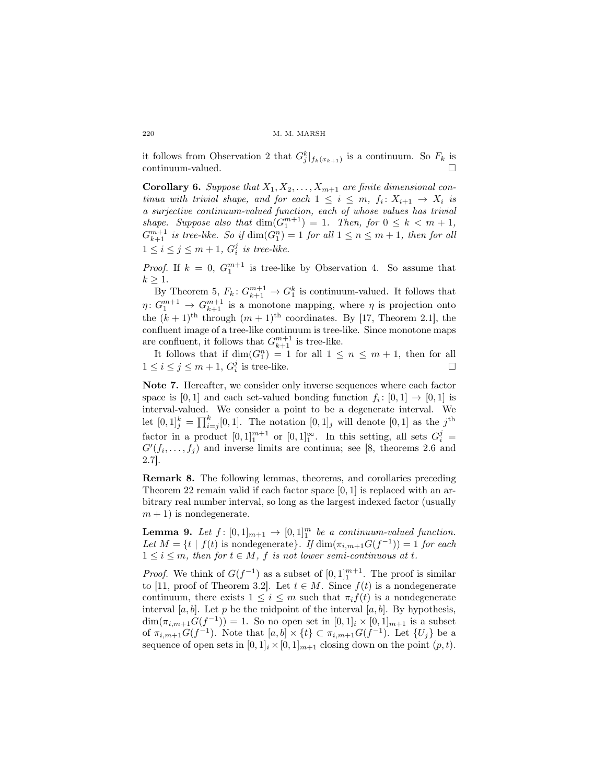it follows from Observation 2 that  $G_j^k|_{f_k(x_{k+1})}$  is a continuum. So  $F_k$  is continuum-valued.

**Corollary 6.** *Suppose that*  $X_1, X_2, \ldots, X_{m+1}$  *are finite dimensional continua with trivial shape, and for each*  $1 \leq i \leq m$ ,  $f_i: X_{i+1} \rightarrow X_i$  *is a surjective continuum-valued function, each of whose values has trivial shape. Suppose also that*  $\dim(G_1^{m+1}) = 1$ *. Then, for*  $0 \leq k < m+1$ *,*  $G_{k+1}^{m+1}$  *is tree-like. So if*  $dim(G_1^n) = 1$  *for all*  $1 \leq n \leq m+1$ *, then for all*  $1 \leq i \leq j \leq m+1$ ,  $G_i^j$  *is tree-like.* 

*Proof.* If  $k = 0$ ,  $G_1^{m+1}$  is tree-like by Observation 4. So assume that  $k \geq 1$ .

By Theorem 5,  $F_k: G_{k+1}^{m+1} \to G_1^k$  is continuum-valued. It follows that  $\eta: G_1^{m+1} \to G_{k+1}^{m+1}$  is a monotone mapping, where  $\eta$  is projection onto the  $(k+1)$ <sup>th</sup> through  $(m+1)$ <sup>th</sup> coordinates. By [17, Theorem 2.1], the confluent image of a tree-like continuum is tree-like. Since monotone maps are confluent, it follows that  $G_{k+1}^{m+1}$  is tree-like.

It follows that if  $\dim(G_1^n) = 1$  for all  $1 \leq n \leq m+1$ , then for all  $1 \leq i \leq j \leq m+1$ ,  $G_i^j$  is tree-like.

Note 7. Hereafter, we consider only inverse sequences where each factor space is  $[0,1]$  and each set-valued bonding function  $f_i: [0,1] \to [0,1]$  is interval-valued. We consider a point to be a degenerate interval. We let  $[0,1]^k_j = \prod_{i=j}^k [0,1]$ . The notation  $[0,1]_j$  will denote  $[0,1]$  as the  $j^{\text{th}}$ factor in a product  $[0,1]_1^{m+1}$  or  $[0,1]_1^{\infty}$ . In this setting, all sets  $G_i^j$  =  $G'(f_i, \ldots, f_j)$  and inverse limits are continua; see [8, theorems 2.6 and 2.7].

Remark 8. The following lemmas, theorems, and corollaries preceding Theorem 22 remain valid if each factor space [0*,* 1] is replaced with an arbitrary real number interval, so long as the largest indexed factor (usually  $m + 1$ ) is nondegenerate.

**Lemma 9.** Let  $f: [0,1]_{m+1} \rightarrow [0,1]_1^m$  be a continuum-valued function. *Let*  $M = \{t \mid f(t) \text{ is nondegenerate}\}\$ *. If*  $\dim(\pi_{i,m+1}G(f^{-1})) = 1$  *for each*  $1 \leq i \leq m$ , then for  $t \in M$ , f is not lower semi-continuous at t.

*Proof.* We think of  $G(f^{-1})$  as a subset of  $[0,1]_1^{m+1}$ . The proof is similar to [11, proof of Theorem 3.2]. Let  $t \in M$ . Since  $f(t)$  is a nondegenerate continuum, there exists  $1 \leq i \leq m$  such that  $\pi_i f(t)$  is a nondegenerate interval  $[a, b]$ . Let  $p$  be the midpoint of the interval  $[a, b]$ . By hypothesis,  $\dim(\pi_{i,m+1}G(f^{-1})) = 1$ . So no open set in  $[0,1]_i \times [0,1]_{m+1}$  is a subset of  $\pi_{i,m+1} G(f^{-1})$ . Note that  $[a, b] \times \{t\} \subset \pi_{i,m+1} G(f^{-1})$ . Let  $\{U_j\}$  be a sequence of open sets in  $[0,1]_i \times [0,1]_{m+1}$  closing down on the point  $(p, t)$ .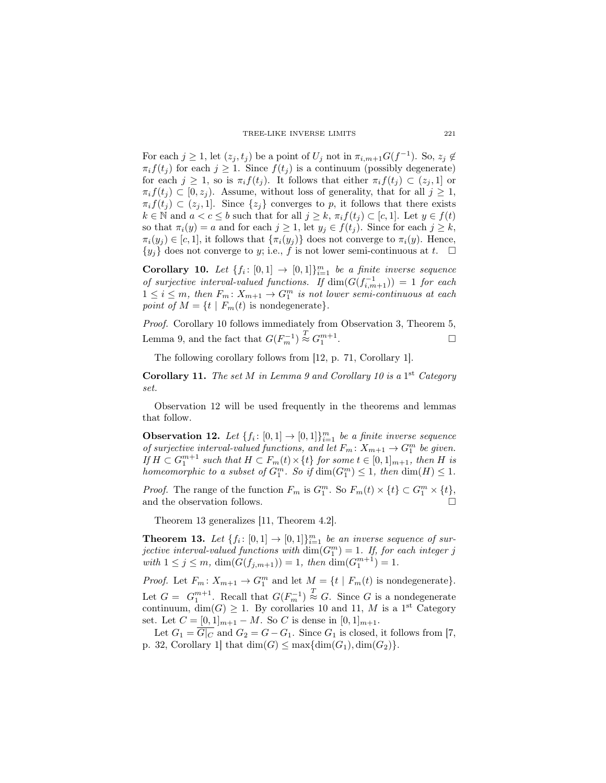For each  $j \geq 1$ , let  $(z_j, t_j)$  be a point of  $U_j$  not in  $\pi_{i,m+1} G(f^{-1})$ . So,  $z_j \notin$  $\pi_i f(t_j)$  for each  $j \geq 1$ . Since  $f(t_j)$  is a continuum (possibly degenerate) for each  $j \geq 1$ , so is  $\pi_i f(t_i)$ . It follows that either  $\pi_i f(t_i) \subset (z_i, 1]$  or  $\pi_i f(t_i) \subset [0, z_i]$ . Assume, without loss of generality, that for all  $j \geq 1$ ,  $\pi_i f(t_i) \subset (z_j, 1]$ . Since  $\{z_j\}$  converges to *p*, it follows that there exists  $k \in \mathbb{N}$  and  $a < c \leq b$  such that for all  $j \geq k$ ,  $\pi_i f(t_i) \subset [c, 1]$ . Let  $y \in f(t)$ so that  $\pi_i(y) = a$  and for each  $j \geq 1$ , let  $y_j \in f(t_j)$ . Since for each  $j \geq k$ ,  $\pi_i(y_j) \in [c, 1]$ , it follows that  $\{\pi_i(y_j)\}\)$  does not converge to  $\pi_i(y)$ . Hence,  $\{y_j\}$  does not converge to *y*; i.e., *f* is not lower semi-continuous at *t*.  $\Box$ 

Corollary 10. Let  $\{f_i: [0,1] \to [0,1]\}_{i=1}^m$  be a finite inverse sequence *of surjective interval-valued functions.* If  $\dim(G(f_{i,m+1}^{-1})) = 1$  for each  $1 \leq i \leq m$ , then  $F_m: X_{m+1} \to G_1^m$  is not lower semi-continuous at each *point of*  $M = \{t \mid F_m(t) \text{ is nondegenerate}\}.$ 

*Proof.* Corollary 10 follows immediately from Observation 3, Theorem 5, Lemma 9, and the fact that  $G(F_m^{-1}) \stackrel{T}{\approx} G_1^{m+1}$ . — Процессиональные производствование и производствование и производствование и производствование и производс<br>В 1990 году в 1990 году в 1990 году в 1990 году в 1990 году в 1990 году в 1990 году в 1990 году в 1990 году в<br>

The following corollary follows from [12, p. 71, Corollary 1].

Corollary 11. *The set M in Lemma 9 and Corollary 10 is a* 1<sup>st</sup> *Category set.*

Observation 12 will be used frequently in the theorems and lemmas that follow.

**Observation 12.** Let  $\{f_i: [0,1] \to [0,1]\}_{i=1}^m$  be a finite inverse sequence *of surjective interval-valued functions, and let*  $F_m: X_{m+1} \to G_1^m$  *be given.* If  $H \subset G_1^{m+1}$  such that  $H \subset F_m(t) \times \{t\}$  for some  $t \in [0,1]_{m+1}$ , then H is *homeomorphic to a subset of*  $G_1^m$ *. So if*  $\dim(G_1^m) \leq 1$ *, then*  $\dim(H) \leq 1$ *.* 

*Proof.* The range of the function  $F_m$  is  $G_1^m$ . So  $F_m(t) \times \{t\} \subset G_1^m \times \{t\}$ , and the observation follows.  $\hfill \square$ 

Theorem 13 generalizes [11, Theorem 4.2].

**Theorem 13.** Let  $\{f_i: [0,1] \to [0,1]\}_{i=1}^m$  be an inverse sequence of sur*jective interval-valued functions with*  $\dim(G_1^m) = 1$ . If, for each integer *j*  $with \ 1 \leq j \leq m, \ \dim(G(f_{j,m+1})) = 1, \ then \ \dim(G_1^{m+1}) = 1.$ 

*Proof.* Let  $F_m: X_{m+1} \to G_1^m$  and let  $M = \{t \mid F_m(t) \text{ is nondegenerate}\}.$ Let  $G = G_1^{m+1}$ . Recall that  $G(F_m^{-1}) \stackrel{T}{\approx} G$ . Since *G* is a nondegenerate continuum,  $\dim(G) \geq 1$ . By corollaries 10 and 11, M is a 1<sup>st</sup> Category set. Let  $C = [0, 1]_{m+1} - M$ . So  $C$  is dense in  $[0, 1]_{m+1}$ .

Let  $G_1 = \overline{G|_C}$  and  $G_2 = G - G_1$ . Since  $G_1$  is closed, it follows from [7, p. 32, Corollary 1 that  $\dim(G) \leq \max{\dim(G_1), \dim(G_2)}$ .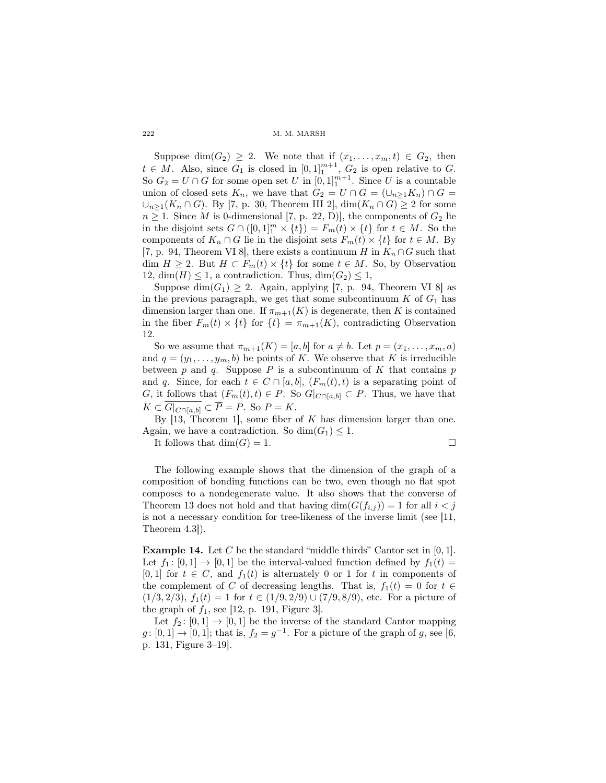Suppose dim $(G_2) \geq 2$ . We note that if  $(x_1, \ldots, x_m, t) \in G_2$ , then  $t \in M$ . Also, since  $G_1$  is closed in  $[0,1]_1^{m+1}$ ,  $G_2$  is open relative to *G*. So  $G_2 = U \cap G$  for some open set  $U$  in  $[0,1]_1^{m+1}$ . Since  $U$  is a countable union of closed sets  $K_n$ , we have that  $G_2 = U \cap G = (\cup_{n \geq 1} K_n) \cap G =$  $∪_{n>1}(K_n ∩ G)$ . By [7, p. 30, Theorem III 2], dim( $K_n ∩ G$ ) ≥ 2 for some  $n \geq 1$ . Since *M* is 0-dimensional [7, p. 22, D)], the components of  $G_2$  lie in the disjoint sets  $G \cap ([0,1]^m \times \{t\}) = F_m(t) \times \{t\}$  for  $t \in M$ . So the components of  $K_n \cap G$  lie in the disjoint sets  $F_m(t) \times \{t\}$  for  $t \in M$ . By [7, p. 94, Theorem VI 8], there exists a continuum *H* in  $K_n \cap G$  such that dim *H* ≥ 2. But *H* ⊂ *F<sub>m</sub>*(*t*)  $\times$  {*t*} for some *t* ∈ *M*. So, by Observation 12,  $\dim(H) \leq 1$ , a contradiction. Thus,  $\dim(G_2) \leq 1$ ,

Suppose  $\dim(G_1) \geq 2$ . Again, applying [7, p. 94, Theorem VI 8] as in the previous paragraph, we get that some subcontinuum  $K$  of  $G_1$  has dimension larger than one. If  $\pi_{m+1}(K)$  is degenerate, then K is contained in the fiber  $F_m(t) \times \{t\}$  for  $\{t\} = \pi_{m+1}(K)$ , contradicting Observation 12.

So we assume that  $\pi_{m+1}(K) = [a, b]$  for  $a \neq b$ . Let  $p = (x_1, \ldots, x_m, a)$ and  $q = (y_1, \ldots, y_m, b)$  be points of *K*. We observe that *K* is irreducible between  $p$  and  $q$ . Suppose  $P$  is a subcontinuum of  $K$  that contains  $p$ and *q*. Since, for each  $t \in C \cap [a, b]$ ,  $(F_m(t), t)$  is a separating point of *G*, it follows that  $(F_m(t), t) \in P$ . So  $G|_{C \cap [a, b]} \subset P$ . Thus, we have that  $K \subset \overline{G|_{C \cap [a,b]}} \subset \overline{P} = P$ . So  $P = K$ .

By [13, Theorem 1], some fiber of *K* has dimension larger than one. Again, we have a contradiction. So  $\dim(G_1) \leq 1$ .

It follows that  $\dim(G) = 1$ .

The following example shows that the dimension of the graph of a composition of bonding functions can be two, even though no flat spot composes to a nondegenerate value. It also shows that the converse of Theorem 13 does not hold and that having  $\dim(G(f_{i,j})) = 1$  for all  $i < j$ is not a necessary condition for tree-likeness of the inverse limit (see [11, Theorem 4.3]).

Example 14. Let *C* be the standard "middle thirds" Cantor set in [0*,* 1]. Let  $f_1: [0,1] \rightarrow [0,1]$  be the interval-valued function defined by  $f_1(t) =$  $[0,1]$  for  $t \in C$ , and  $f_1(t)$  is alternately 0 or 1 for *t* in components of the complement of *C* of decreasing lengths. That is,  $f_1(t) = 0$  for  $t \in$  $(1/3, 2/3), f_1(t) = 1$  for  $t \in (1/9, 2/9) \cup (7/9, 8/9)$ , etc. For a picture of the graph of  $f_1$ , see [12, p. 191, Figure 3].

Let  $f_2: [0,1] \rightarrow [0,1]$  be the inverse of the standard Cantor mapping  $g: [0,1] \rightarrow [0,1]$ ; that is,  $f_2 = g^{-1}$ . For a picture of the graph of *g*, see [6, p. 131, Figure 3–19].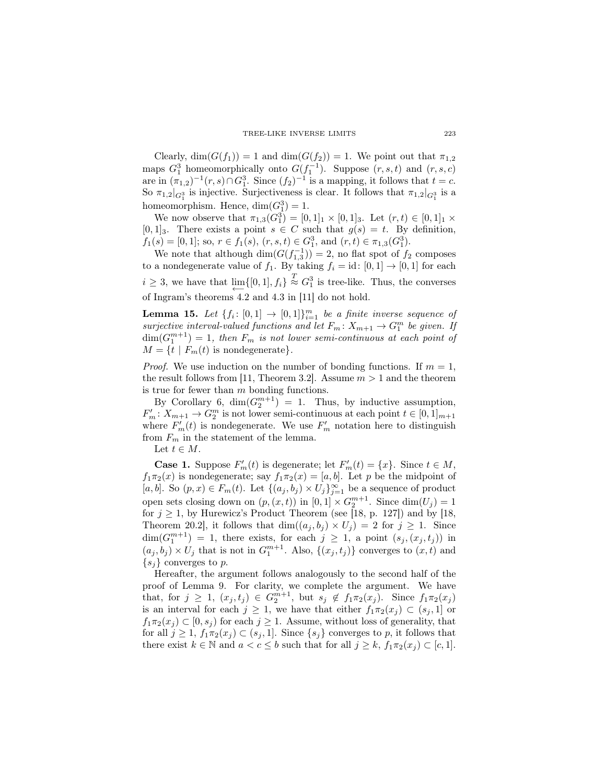Clearly,  $\dim(G(f_1)) = 1$  and  $\dim(G(f_2)) = 1$ . We point out that  $\pi_{1,2}$ maps  $G_1^3$  homeomorphically onto  $G(f_1^{-1})$ . Suppose  $(r, s, t)$  and  $(r, s, c)$ are in  $(\pi_{1,2})^{-1}(r,s) \cap G_1^3$ . Since  $(f_2)^{-1}$  is a mapping, it follows that  $t = c$ . So  $\pi_{1,2}|_{G_1^3}$  is injective. Surjectiveness is clear. It follows that  $\pi_{1,2}|_{G_1^3}$  is a homeomorphism. Hence,  $\dim(G_1^3) = 1$ .

We now observe that  $\pi_{1,3}(G_1^3) = [0,1]_1 \times [0,1]_3$ . Let  $(r,t) \in [0,1]_1 \times$  $[0,1]_3$ . There exists a point  $s \in C$  such that  $g(s) = t$ . By definition,  $f_1(s) = [0, 1]$ ; so,  $r \in f_1(s)$ ,  $(r, s, t) \in G_1^3$ , and  $(r, t) \in \pi_{1,3}(G_1^3)$ .

We note that although  $\dim(G(f_{1,3}^{-1})) = 2$ , no flat spot of  $f_2$  composes to a nondegenerate value of  $f_1$ . By taking  $f_i = id$ :  $[0, 1] \rightarrow [0, 1]$  for each  $i \geq 3$ , we have that  $\lim_{n \to \infty} \{ [0, 1], f_i \} \stackrel{T}{\approx} G_1^3$  is tree-like. Thus, the converses *←−* of Ingram's theorems 4.2 and 4.3 in [11] do not hold.

**Lemma 15.** Let  $\{f_i: [0,1] \to [0,1]\}_{i=1}^m$  be a finite inverse sequence of *surjective interval-valued functions and let*  $F_m: X_{m+1} \to G_1^m$  be given. If  $\dim(G_1^{m+1}) = 1$ , then  $F_m$  is not lower semi-continuous at each point of  $M = \{t \mid F_m(t) \text{ is nondegenerate}\}.$ 

*Proof.* We use induction on the number of bonding functions. If  $m = 1$ , the result follows from [11, Theorem 3.2]. Assume  $m > 1$  and the theorem is true for fewer than *m* bonding functions.

By Corollary 6,  $\dim(G_2^{m+1}) = 1$ . Thus, by inductive assumption,  $F'_{m}: X_{m+1} \to G_2^m$  is not lower semi-continuous at each point  $t \in [0, 1]_{m+1}$ where  $F'_{m}(t)$  is nondegenerate. We use  $F'_{m}$  notation here to distinguish from *F<sup>m</sup>* in the statement of the lemma.

Let  $t \in M$ .

**Case 1.** Suppose  $F'_{m}(t)$  is degenerate; let  $F'_{m}(t) = \{x\}$ . Since  $t \in M$ ,  $f_1\pi_2(x)$  is nondegenerate; say  $f_1\pi_2(x) = [a, b]$ . Let *p* be the midpoint of [ $a, b$ ]. So  $(p, x) \in F_m(t)$ . Let  ${(a_j, b_j) \times U_j}_{j=1}^{\infty}$  be a sequence of product open sets closing down on  $(p, (x, t))$  in  $[0, 1] \times G_2^{m+1}$ . Since  $dim(U_j) = 1$ for  $j \ge 1$ , by Hurewicz's Product Theorem (see [18, p. 127]) and by [18, Theorem 20.2], it follows that  $\dim((a_j, b_j) \times U_j) = 2$  for  $j \ge 1$ . Since  $\dim(G_1^{m+1}) = 1$ , there exists, for each  $j \geq 1$ , a point  $(s_j, (x_j, t_j))$  in  $(a_j, b_j) \times U_j$  that is not in  $G_1^{m+1}$ . Also,  $\{(x_j, t_j)\}$  converges to  $(x, t)$  and  ${s<sub>i</sub>}$  converges to *p*.

Hereafter, the argument follows analogously to the second half of the proof of Lemma 9. For clarity, we complete the argument. We have that, for  $j \geq 1$ ,  $(x_j, t_j) \in G_2^{m+1}$ , but  $s_j \notin f_1 \pi_2(x_j)$ . Since  $f_1 \pi_2(x_j)$ is an interval for each  $j \geq 1$ , we have that either  $f_1 \pi_2(x_j) \subset (s_j, 1]$  or  $f_1\pi_2(x_j) \subset [0, s_j)$  for each  $j \geq 1$ . Assume, without loss of generality, that for all  $j \geq 1$ ,  $f_1 \pi_2(x_j) \subset (s_j, 1]$ . Since  $\{s_j\}$  converges to p, it follows that there exist  $k \in \mathbb{N}$  and  $a < c \leq b$  such that for all  $j \geq k$ ,  $f_1 \pi_2(x_j) \subset [c, 1]$ .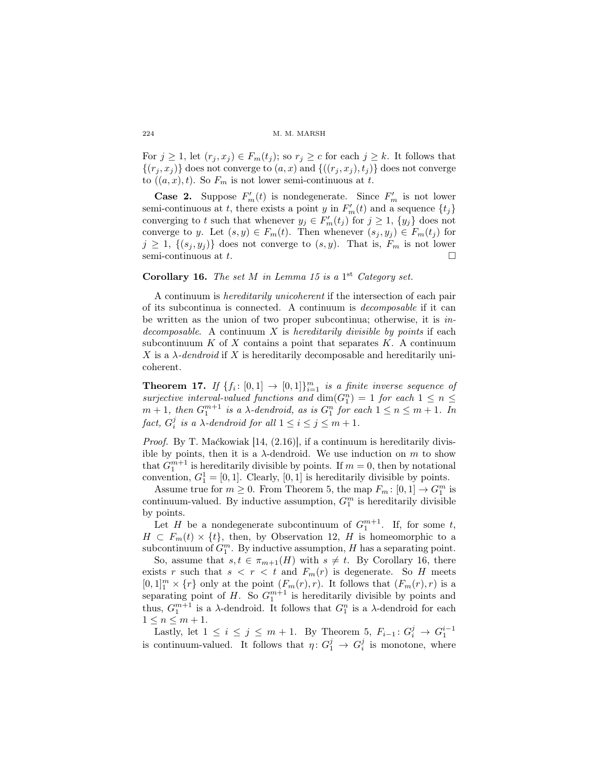For  $j \geq 1$ , let  $(r_j, x_j) \in F_m(t_j)$ ; so  $r_j \geq c$  for each  $j \geq k$ . It follows that  $\{(r_i, x_j)\}\)$  does not converge to  $(a, x)$  and  $\{(r_i, x_j), t_j\}\)$  does not converge to  $((a, x), t)$ . So  $F_m$  is not lower semi-continuous at *t*.

**Case 2.** Suppose  $F'_{m}(t)$  is nondegenerate. Since  $F'_{m}$  is not lower semi-continuous at *t*, there exists a point *y* in  $F'_{m}(t)$  and a sequence  $\{t_j\}$ converging to *t* such that whenever  $y_j \in F'_m(t_j)$  for  $j \geq 1$ ,  $\{y_j\}$  does not converge to *y*. Let  $(s, y) \in F_m(t)$ . Then whenever  $(s_j, y_j) \in F_m(t_j)$  for  $j \geq 1$ ,  $\{(s_i, y_j)\}\)$  does not converge to  $(s, y)$ . That is,  $F_m$  is not lower semi-continuous at *t*.

## **Corollary 16.** *The set*  $M$  *in Lemma 15 is a* 1<sup>st</sup> *Category set.*

A continuum is *hereditarily unicoherent* if the intersection of each pair of its subcontinua is connected. A continuum is *decomposable* if it can be written as the union of two proper subcontinua; otherwise, it is *indecomposable*. A continuum *X* is *hereditarily divisible by points* if each subcontinuum  $K$  of  $X$  contains a point that separates  $K$ . A continuum *X* is a  $\lambda$ -dendroid if *X* is hereditarily decomposable and hereditarily unicoherent.

**Theorem 17.** If  $\{f_i: [0,1] \to [0,1]\}_{i=1}^m$  is a finite inverse sequence of *surjective interval-valued functions and*  $dim(G_1^n) = 1$  *for each*  $1 \leq n \leq$  $m + 1$ , then  $G_1^{m+1}$  is a  $\lambda$ -dendroid, as is  $G_1^n$  for each  $1 \leq n \leq m+1$ . In *fact,*  $G_i^j$  *is a*  $\lambda$ *-dendroid for all*  $1 \leq i \leq j \leq m+1$ *.* 

*Proof.* By T. Maćkowiak [14, (2.16)], if a continuum is hereditarily divisible by points, then it is a  $\lambda$ -dendroid. We use induction on  $m$  to show that  $G_1^{m+1}$  is hereditarily divisible by points. If  $m = 0$ , then by notational convention,  $G_1^1 = [0, 1]$ . Clearly,  $[0, 1]$  is hereditarily divisible by points.

Assume true for  $m \geq 0$ . From Theorem 5, the map  $F_m: [0,1] \to G_1^m$  is continuum-valued. By inductive assumption,  $G_1^m$  is hereditarily divisible by points.

Let *H* be a nondegenerate subcontinuum of  $G_1^{m+1}$ . If, for some *t*,  $H \subset F_m(t) \times \{t\}$ , then, by Observation 12, *H* is homeomorphic to a subcontinuum of  $G_1^m$ . By inductive assumption, *H* has a separating point.

So, assume that  $s, t \in \pi_{m+1}(H)$  with  $s \neq t$ . By Corollary 16, there exists *r* such that  $s < r < t$  and  $F_m(r)$  is degenerate. So *H* meets  $[0,1]_1^m \times \{r\}$  only at the point  $(F_m(r), r)$ . It follows that  $(F_m(r), r)$  is a separating point of  $H$ . So  $G_1^{m+1}$  is hereditarily divisible by points and thus,  $G_1^{m+1}$  is a *λ*-dendroid. It follows that  $G_1^n$  is a *λ*-dendroid for each  $1 \leq n \leq m+1$ .

Lastly, let  $1 \le i \le j \le m + 1$ . By Theorem 5,  $F_{i-1}: G_i^j \to G_1^{i-1}$ is continuum-valued. It follows that  $\eta: G_1^j \to G_i^j$  is monotone, where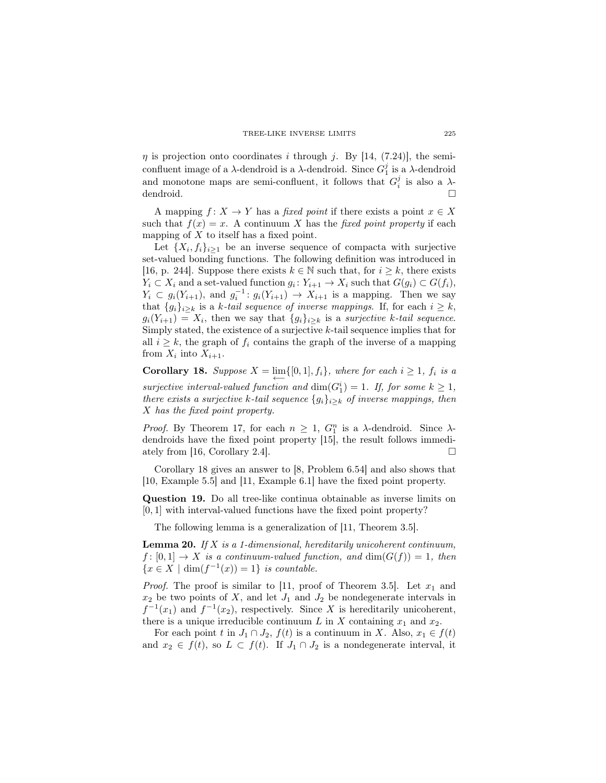*η* is projection onto coordinates *i* through *j*. By [14, (7.24)], the semiconfluent image of a *λ*-dendroid is a *λ*-dendroid. Since  $G_1^j$  is a *λ*-dendroid and monotone maps are semi-confluent, it follows that  $G_i^j$  is also a  $\lambda$ dendroid. □

A mapping  $f: X \to Y$  has a *fixed point* if there exists a point  $x \in X$ such that  $f(x) = x$ . A continuum *X* has the *fixed point property* if each mapping of *X* to itself has a fixed point.

Let  $\{X_i, f_i\}_{i\geq 1}$  be an inverse sequence of compacta with surjective set-valued bonding functions. The following definition was introduced in [16, p. 244]. Suppose there exists  $k \in \mathbb{N}$  such that, for  $i \geq k$ , there exists  $Y_i \subset X_i$  and a set-valued function  $g_i \colon Y_{i+1} \to X_i$  such that  $G(g_i) \subset G(f_i)$ ,  $Y_i \subset g_i(Y_{i+1}),$  and  $g_i^{-1}: g_i(Y_{i+1}) \to X_{i+1}$  is a mapping. Then we say that  ${g_i}_{i \geq k}$  is a *k*-tail sequence of inverse mappings. If, for each  $i \geq k$ ,  $g_i(Y_{i+1}) = X_i$ , then we say that  $\{g_i\}_{i \geq k}$  is a *surjective k-tail sequence*. Simply stated, the existence of a surjective *k*-tail sequence implies that for all  $i \geq k$ , the graph of  $f_i$  contains the graph of the inverse of a mapping from  $X_i$  into  $X_{i+1}$ .

**Corollary 18.** Suppose  $X = \lim\{0, 1\}$ ,  $f_i\}$ *, where for each*  $i \geq 1$ *,*  $f_i$  *is a*  $\overleftarrow{L}$  *surjective interval-valued function and* dim( $G_1^i$ ) = 1*. If, for some*  $k \geq 1$ *, there exists a surjective k*-tail sequence  ${g_i}_{i \geq k}$  *of inverse mappings, then X has the fixed point property.*

*Proof.* By Theorem 17, for each  $n \geq 1$ ,  $G_1^n$  is a *λ*-dendroid. Since *λ*dendroids have the fixed point property [15], the result follows immediately from [16, Corollary 2.4].

Corollary 18 gives an answer to [8, Problem 6.54] and also shows that [10, Example 5.5] and [11, Example 6.1] have the fixed point property.

Question 19. Do all tree-like continua obtainable as inverse limits on [0*,* 1] with interval-valued functions have the fixed point property?

The following lemma is a generalization of [11, Theorem 3.5].

Lemma 20. *If X is a 1-dimensional, hereditarily unicoherent continuum,*  $f: [0,1] \rightarrow X$  *is a continuum-valued function, and*  $dim(G(f)) = 1$ *, then*  ${x \in X \mid \dim(f^{-1}(x)) = 1}$  *is countable.* 

*Proof.* The proof is similar to [11, proof of Theorem 3.5]. Let  $x_1$  and  $x_2$  be two points of *X*, and let  $J_1$  and  $J_2$  be nondegenerate intervals in  $f^{-1}(x_1)$  and  $f^{-1}(x_2)$ , respectively. Since *X* is hereditarily unicoherent, there is a unique irreducible continuum  $L$  in  $X$  containing  $x_1$  and  $x_2$ .

For each point *t* in  $J_1 \cap J_2$ ,  $f(t)$  is a continuum in *X*. Also,  $x_1 \in f(t)$ and  $x_2 \in f(t)$ , so  $L \subset f(t)$ . If  $J_1 \cap J_2$  is a nondegenerate interval, it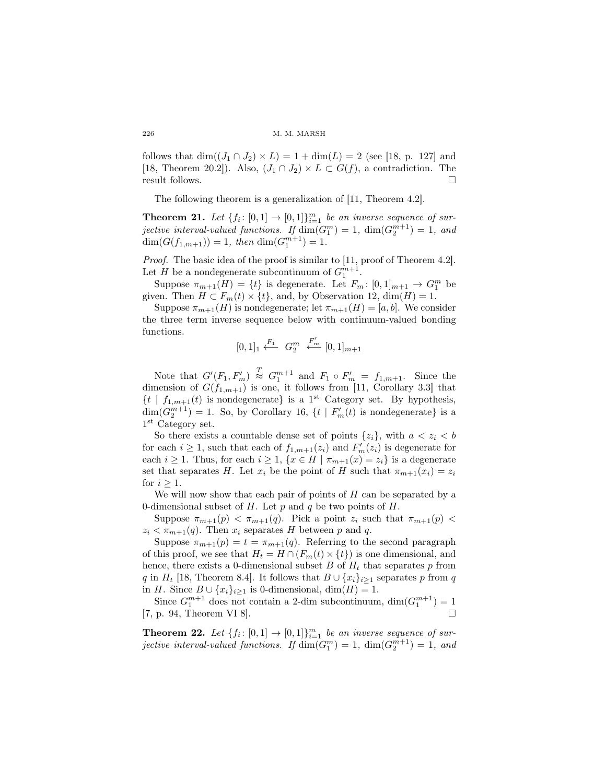follows that  $\dim((J_1 \cap J_2) \times L) = 1 + \dim(L) = 2$  (see [18, p. 127] and [18, Theorem 20.2]). Also,  $(J_1 \cap J_2) \times L \subset G(f)$ , a contradiction. The result follows.

The following theorem is a generalization of [11, Theorem 4.2].

**Theorem 21.** Let  $\{f_i: [0,1] \to [0,1]\}_{i=1}^m$  be an inverse sequence of sur*jective interval-valued functions.* If  $\dim(G_1^m) = 1$ ,  $\dim(G_2^{m+1}) = 1$ , and  $dim(G(f_{1,m+1})) = 1$ *, then*  $dim(G_1^{m+1}) = 1$ *.* 

*Proof.* The basic idea of the proof is similar to [11, proof of Theorem 4.2]. Let *H* be a nondegenerate subcontinuum of  $G_1^{m+1}$ .

Suppose  $\pi_{m+1}(H) = \{t\}$  is degenerate. Let  $F_m: [0,1]_{m+1} \to G_1^m$  be given. Then  $H \subset F_m(t) \times \{t\}$ , and, by Observation 12, dim( $H$ ) = 1.

Suppose  $\pi_{m+1}(H)$  is nondegenerate; let  $\pi_{m+1}(H) = [a, b]$ . We consider the three term inverse sequence below with continuum-valued bonding functions.

$$
[0,1]_1 \xleftarrow{F_1} G_2^m \xleftarrow{F'_m} [0,1]_{m+1}
$$

Note that  $G'(F_1, F'_m) \stackrel{T}{\approx} G_1^{m+1}$  and  $F_1 \circ F'_m = f_{1,m+1}$ . Since the dimension of  $G(f_{1,m+1})$  is one, it follows from [11, Corollary 3.3] that  $\{t | f_{1,m+1}(t) \text{ is nondegenerate}\}\$ is a 1<sup>st</sup> Category set. By hypothesis,  $\dim(G_2^{m+1}) = 1$ . So, by Corollary 16,  $\{t \mid F'_m(t) \text{ is nondegenerate}\}\$ is a 1 st Category set.

So there exists a countable dense set of points  $\{z_i\}$ , with  $a < z_i < b$ for each  $i \geq 1$ , such that each of  $f_{1,m+1}(z_i)$  and  $F'_m(z_i)$  is degenerate for each *i*  $\geq$  1. Thus, for each *i*  $\geq$  1,  $\{x \in H \mid \pi_{m+1}(x) = z_i\}$  is a degenerate set that separates *H*. Let  $x_i$  be the point of *H* such that  $\pi_{m+1}(x_i) = z_i$ for  $i \geq 1$ .

We will now show that each pair of points of *H* can be separated by a 0-dimensional subset of *H*. Let *p* and *q* be two points of *H*.

Suppose  $\pi_{m+1}(p) < \pi_{m+1}(q)$ . Pick a point  $z_i$  such that  $\pi_{m+1}(p)$  $z_i < \pi_{m+1}(q)$ . Then  $x_i$  separates *H* between *p* and *q*.

Suppose  $\pi_{m+1}(p) = t = \pi_{m+1}(q)$ . Referring to the second paragraph of this proof, we see that  $H_t = H \cap (F_m(t) \times \{t\})$  is one dimensional, and hence, there exists a 0-dimensional subset  $B$  of  $H_t$  that separates  $p$  from *q* in *H*<sub>t</sub> [18, Theorem 8.4]. It follows that  $B \cup \{x_i\}_{i\geq 1}$  separates *p* from *q* in *H*. Since  $B \cup \{x_i\}_{i \geq 1}$  is 0-dimensional, dim $(H) = 1$ .

Since  $G_1^{m+1}$  does not contain a 2-dim subcontinuum,  $\dim(G_1^{m+1}) = 1$ [7, p. 94, Theorem VI 8].

**Theorem 22.** Let  $\{f_i: [0,1] \to [0,1]\}_{i=1}^m$  be an inverse sequence of sur*jective interval-valued functions. If*  $\dim(G_1^m) = 1$ ,  $\dim(G_2^{m+1}) = 1$ , and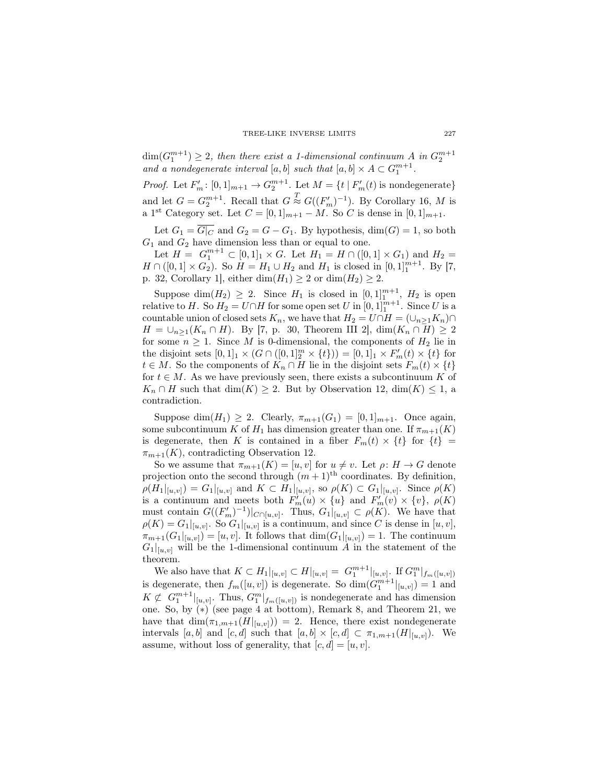$\dim(G_1^{m+1}) \geq 2$ , then there exist a 1-dimensional continuum *A* in  $G_2^{m+1}$ *and a nondegenerate interval*  $[a, b]$  *such that*  $[a, b] \times A \subset G_1^{m+1}$ .

*Proof.* Let  $F'_{m}: [0, 1]_{m+1} \to G_2^{m+1}$ . Let  $M = \{t \mid F'_{m}(t) \text{ is nondegenerate}\}\$ and let  $G = G_2^{m+1}$ . Recall that  $G \stackrel{T}{\approx} G((F'_m)^{-1})$ . By Corollary 16, *M* is a 1<sup>st</sup> Category set. Let  $C = [0, 1]_{m+1} - M$ . So *C* is dense in  $[0, 1]_{m+1}$ .

Let  $G_1 = \overline{G|_C}$  and  $G_2 = G - G_1$ . By hypothesis, dim( $G$ ) = 1, so both  $G_1$  and  $G_2$  have dimension less than or equal to one.

Let  $H = G_1^{m+1} \subset [0,1]_1 \times G$ . Let  $H_1 = H \cap ([0,1] \times G_1)$  and  $H_2 =$ *H* ∩ ([0, 1] × *G*<sub>2</sub>). So *H* = *H*<sub>1</sub> ∪ *H*<sub>2</sub> and *H*<sub>1</sub> is closed in [0, 1]<sup>*m*+1</sup>. By [7, p. 32, Corollary 1, either dim $(H_1) \geq 2$  or dim $(H_2) \geq 2$ .

Suppose dim $(H_2) \geq 2$ . Since  $H_1$  is closed in  $[0,1]_1^{m+1}$ ,  $H_2$  is open relative to *H*. So  $H_2 = U \cap H$  for some open set *U* in  $[0, 1]_1^{m+1}$ . Since *U* is a countable union of closed sets  $K_n$ , we have that  $H_2 = U \cap H = (\cup_{n \geq 1} K_n) \cap$ *H* = *∪*<sub>*n*</sub>><sub>1</sub>(*K*<sub>*n*</sub> ∩ *H*). By [7, p. 30, Theorem III 2], dim(*K*<sub>*n*</sub> ∩ *H*) ≥ 2 for some  $n \geq 1$ . Since *M* is 0-dimensional, the components of  $H_2$  lie in the disjoint sets  $[0,1]_1 \times (G \cap ([0,1]_2^m \times \{t\})) = [0,1]_1 \times F'_m(t) \times \{t\}$  for *t* ∈ *M*. So the components of  $K_n$  ∩ *H* lie in the disjoint sets  $F_m(t) \times \{t\}$ for  $t \in M$ . As we have previously seen, there exists a subcontinuum K of  $K_n \cap H$  such that  $\dim(K) \geq 2$ . But by Observation 12,  $\dim(K) \leq 1$ , a contradiction.

Suppose dim( $H_1$ )  $\geq$  2. Clearly,  $\pi_{m+1}(G_1) = [0,1]_{m+1}$ . Once again, some subcontinuum *K* of  $H_1$  has dimension greater than one. If  $\pi_{m+1}(K)$ is degenerate, then *K* is contained in a fiber  $F_m(t) \times \{t\}$  for  $\{t\}$  =  $\pi_{m+1}(K)$ , contradicting Observation 12.

So we assume that  $\pi_{m+1}(K) = [u, v]$  for  $u \neq v$ . Let  $\rho: H \to G$  denote projection onto the second through  $(m+1)$ <sup>th</sup> coordinates. By definition,  $\rho(H_1|_{[u,v]}) = G_1|_{[u,v]}$  and  $K \subset H_1|_{[u,v]}$ , so  $\rho(K) \subset G_1|_{[u,v]}$ . Since  $\rho(K)$ is a continuum and meets both  $F'_{m}(u) \times \{u\}$  and  $F'_{m}(v) \times \{v\}$ ,  $\rho(K)$ must contain  $G((F'_m)^{-1})|_{C \cap [u,v]}$ . Thus,  $G_1|_{[u,v]} \subset \rho(K)$ . We have that  $\rho(K) = G_1|_{[u,v]}$ . So  $G_1|_{[u,v]}$  is a continuum, and since *C* is dense in  $[u,v]$ ,  $\pi_{m+1}(G_1|_{[u,v]}) = [u, v]$ . It follows that  $\dim(G_1|_{[u,v]}) = 1$ . The continuum  $G_1|_{[u,v]}$  will be the 1-dimensional continuum *A* in the statement of the theorem.

We also have that  $K \subset H_1|_{[u,v]} \subset H|_{[u,v]} = G_1^{m+1}|_{[u,v]}$ . If  $G_1^m|_{f_m([u,v])}$ is degenerate, then  $f_m([u, v])$  is degenerate. So  $\dim(G_1^{m+1}|_{[u, v]}) = 1$  and  $K \not\subset G_1^{m+1}|_{[u,v]}$ . Thus,  $G_1^m|_{f_m([u,v])}$  is nondegenerate and has dimension one. So, by (*∗*) (see page 4 at bottom), Remark 8, and Theorem 21, we have that  $\dim(\pi_{1,m+1}(H|_{[u,v]})) = 2$ . Hence, there exist nondegenerate intervals [a, b] and [c, d] such that  $[a, b] \times [c, d] \subset \pi_{1,m+1}(H|_{[u,v]})$ . We assume, without loss of generality, that  $[c, d] = [u, v]$ .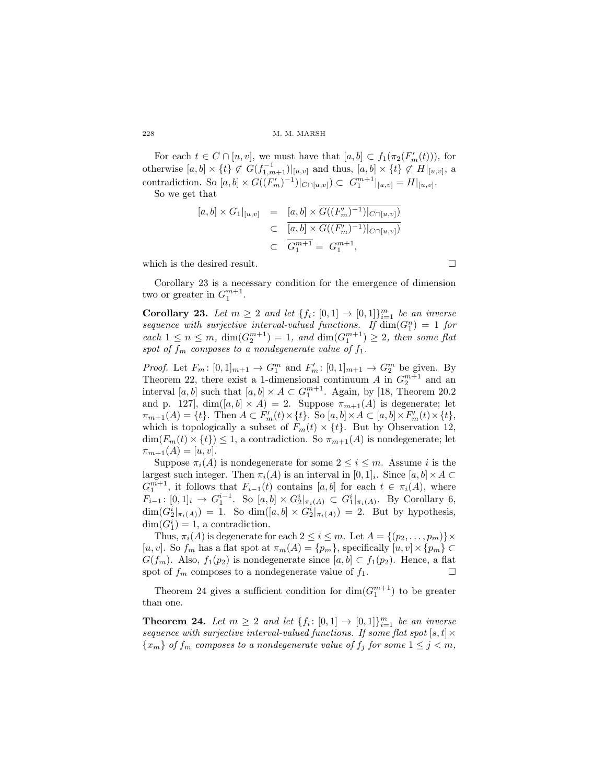For each  $t \in C \cap [u, v]$ , we must have that  $[a, b] \subset f_1(\pi_2(F'_m(t)))$ , for otherwise  $[a, b] \times \{t\} \not\subset G(f_{1,m+1}^{-1})|_{[u,v]}$  and thus,  $[a, b] \times \{t\} \not\subset H|_{[u,v]}$ , a contradiction. So  $[a, b] \times G((F'_m)^{-1})|_{C \cap [u, v]}) \subset G_1^{m+1}|_{[u, v]} = H|_{[u, v]}.$ 

So we get that

$$
[a,b] \times G_1|_{[u,v]} = [a,b] \times G((F'_m)^{-1})|_{C \cap [u,v]})
$$
  

$$
\subset \overline{[a,b] \times G((F'_m)^{-1})|_{C \cap [u,v]})}
$$
  

$$
\subset \overline{G_1^{m+1}} = G_1^{m+1},
$$

which is the desired result.  $\Box$ 

Corollary 23 is a necessary condition for the emergence of dimension two or greater in  $G_1^{m+1}$ .

**Corollary 23.** Let  $m \geq 2$  and let  $\{f_i: [0,1] \to [0,1]\}_{i=1}^m$  be an inverse sequence with surjective interval-valued functions. If  $\dim(G_1^n) = 1$  for  $\int e^{at} \cdot f(x) \leq f(x) \leq f(x) \leq f(x) \leq f(x) \leq f(x) \leq f(x) \leq f(x) \leq f(x) \leq f(x) \leq f(x) \leq f(x) \leq f(x) \leq f(x) \leq f(x) \leq f(x) \leq f(x) \leq f(x) \leq f(x) \leq f(x) \leq f(x) \leq f(x) \leq f(x) \leq f(x) \leq f(x) \leq f(x) \leq f(x) \leq f(x) \leq f(x) \leq f(x) \leq f(x) \leq f(x) \leq f(x) \leq f(x) \leq f(x) \leq f(x$ *spot of*  $f_m$  *composes to a nondegenerate value of*  $f_1$ *.* 

*Proof.* Let  $F_m: [0,1]_{m+1} \to G_1^m$  and  $F'_m: [0,1]_{m+1} \to G_2^m$  be given. By Theorem 22, there exist a 1-dimensional continuum *A* in  $G_2^{m+1}$  and an interval [ $a, b$ ] such that  $[a, b] \times A \subset G_1^{m+1}$ . Again, by [18, Theorem 20.2 and p. 127],  $\dim([a, b] \times A) = 2$ . Suppose  $\pi_{m+1}(A)$  is degenerate; let  $\pi_{m+1}(A) = \{t\}.$  Then  $A \subset F'_m(t) \times \{t\}.$  So  $[a, b] \times A \subset [a, b] \times F'_m(t) \times \{t\},$ which is topologically a subset of  $F_m(t) \times \{t\}$ . But by Observation 12,  $\dim(F_m(t) \times \{t\}) \leq 1$ , a contradiction. So  $\pi_{m+1}(A)$  is nondegenerate; let  $\pi_{m+1}(A) = [u, v].$ 

Suppose  $\pi_i(A)$  is nondegenerate for some  $2 \leq i \leq m$ . Assume *i* is the largest such integer. Then  $\pi_i(A)$  is an interval in  $[0,1]_i$ . Since  $[a,b] \times A \subset$  $G_1^{m+1}$ , it follows that  $F_{i-1}(t)$  contains [*a, b*] for each  $t \in \pi_i(A)$ , where  $F_{i-1}: [0,1]_i \to G_1^{i-1}$ . So  $[a,b] \times G_2^i|_{\pi_i(A)} \subset G_1^i|_{\pi_i(A)}$ . By Corollary 6,  $\dim(G_2^i|_{\pi_i(A)}) = 1$ . So  $\dim([a, b] \times G_2^i|_{\pi_i(A)}) = 2$ . But by hypothesis,  $dim(G_1^i) = 1$ , a contradiction.

Thus,  $\pi_i(A)$  is degenerate for each  $2 \leq i \leq m$ . Let  $A = \{(p_2, \ldots, p_m)\}\times$  $[u, v]$ . So  $f_m$  has a flat spot at  $\pi_m(A) = \{p_m\}$ , specifically  $[u, v] \times \{p_m\} \subset$ *G*( $f_m$ ). Also,  $f_1(p_2)$  is nondegenerate since  $[a, b] \subset f_1(p_2)$ . Hence, a flat spot of  $f_m$  composes to a nondegenerate value of  $f_1$ .

Theorem 24 gives a sufficient condition for  $\dim(G_1^{m+1})$  to be greater than one.

**Theorem 24.** Let  $m \geq 2$  and let  $\{f_i: [0,1] \to [0,1]\}_{i=1}^m$  be an inverse *sequence with surjective interval-valued functions. If some flat spot* [ $s, t$ ] $\times$  ${x_m}$  *of*  $f_m$  *composes to a nondegenerate value of*  $f_j$  *for some*  $1 \leq j \leq m$ *,*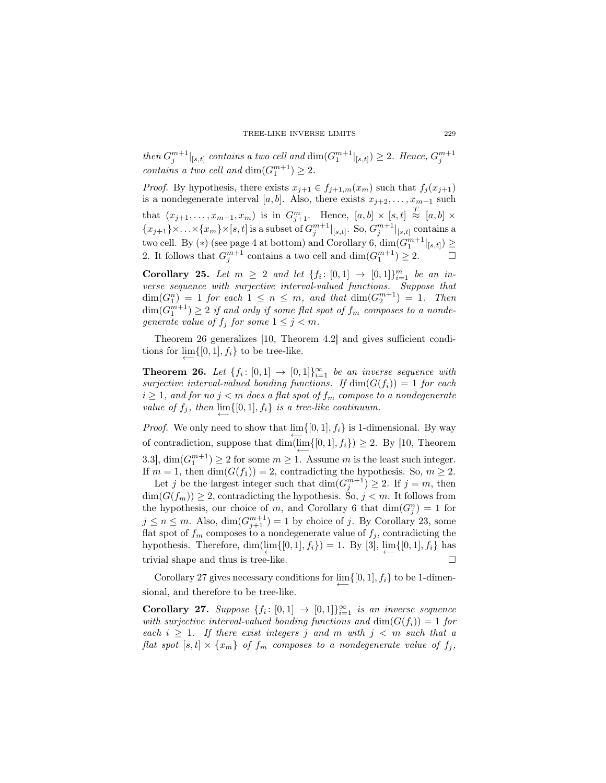*then*  $G_j^{m+1}|_{[s,t]}$  *contains a two cell and*  $\dim(G_1^{m+1}|_{[s,t]}) \geq 2$ *. Hence,*  $G_j^{m+1}$ *contains a two cell and*  $\dim(G_1^{m+1}) \geq 2$ *.* 

*Proof.* By hypothesis, there exists  $x_{j+1} \in f_{j+1,m}(x_m)$  such that  $f_j(x_{j+1})$ is a nondegenerate interval [ $a, b$ ]. Also, there exists  $x_{j+2}, \ldots, x_{m-1}$  such that  $(x_{j+1},...,x_{m-1},x_m)$  is in  $G_{j+1}^m$ . Hence,  $[a,b] \times [s,t] \stackrel{T}{\approx} [a,b] \times$  ${x_{j+1}} \times ... \times {x_m} \times [s,t]$  is a subset of  $G^{m+1}_{j}|_{[s,t]}$ . So,  $G^{m+1}_{j}|_{[s,t]}$  contains a two cell. By  $(*)$  (see page 4 at bottom) and Corollary 6,  $\dim(G_1^{m+1}|_{[s,t]}) \ge$ 2. It follows that  $G_j^{m+1}$  contains a two cell and  $\dim(G_1^{m+1}) \geq 2$ .

Corollary 25. Let  $m \geq 2$  and let  $\{f_i: [0,1] \to [0,1]\}_{i=1}^m$  be an in*verse sequence with surjective interval-valued functions. Suppose that*  $\dim(G_1^n) = 1$  *for each*  $1 \leq n \leq m$ , and that  $\dim(G_2^{m+1}) = 1$ . Then  $\dim(G_1^{m+1}) \geq 2$  *if and only if some flat spot of*  $f_m$  *composes to a nondegenerate value of*  $f_j$  *for some*  $1 \leq j \leq m$ *.* 

Theorem 26 generalizes [10, Theorem 4.2] and gives sufficient conditions for  $\lim\{0, 1\}$ ,  $f_i\}$  to be tree-like.

*←−*

**Theorem 26.** Let  $\{f_i: [0,1] \to [0,1]\}_{i=1}^{\infty}$  be an inverse sequence with *surjective interval-valued bonding functions. If*  $dim(G(f_i)) = 1$  *for each*  $i \geq 1$ *, and for no*  $j < m$  *does a flat spot of*  $f_m$  *compose to a nondegenerate value of*  $f_j$ *, then*  $\lim_{\longleftarrow} \{ [0,1], f_i \}$  *is a tree-like continuum.* 

*Proof.* We only need to show that  $\lim\{0, 1\}$ ,  $f_i\}$  is 1-dimensional. By way of contradiction, suppose that  $\dim(\lim\{0,1\}, f_i\}) \geq 2$ . By [10, Theorem 3.3],  $\dim(G_1^{m+1}) \geq 2$  for some  $m \geq 1$ . Assume *m* is the least such integer. If  $m = 1$ , then  $\dim(G(f_1)) = 2$ , contradicting the hypothesis. So,  $m \geq 2$ .

Let *j* be the largest integer such that  $\dim(G_j^{m+1}) \geq 2$ . If  $j = m$ , then  $\dim(G(f_m)) \geq 2$ , contradicting the hypothesis. So,  $j < m$ . It follows from the hypothesis, our choice of *m*, and Corollary 6 that  $\dim(G_j^n) = 1$  for  $j \leq n \leq m$ . Also,  $\dim(G_{j+1}^{m+1}) = 1$  by choice of *j*. By Corollary 23, some flat spot of  $f_m$  composes to a nondegenerate value of  $f_j$ , contradicting the hypothesis. Therefore, dim( $\lim_{i \to \infty} \{ [0, 1], f_i \}$ ) = 1. By [3],  $\lim_{i \to \infty} \{ [0, 1], f_i \}$  has *←−* trivial shape and thus is tree-like.

Corollary 27 gives necessary conditions for  $\lim\{0,1\}$ ,  $f_i\}$  to be 1-dimen-*←−* sional, and therefore to be tree-like.

**Corollary 27.** Suppose  $\{f_i: [0,1] \rightarrow [0,1]\}_{i=1}^{\infty}$  is an inverse sequence *with surjective interval-valued bonding functions and*  $dim(G(f_i)) = 1$  *for each*  $i \geq 1$ *. If there exist integers j* and *m* with  $j < m$  *such that a flat spot*  $[s,t] \times \{x_m\}$  *of*  $f_m$  *composes to a nondegenerate value of*  $f_j$ ,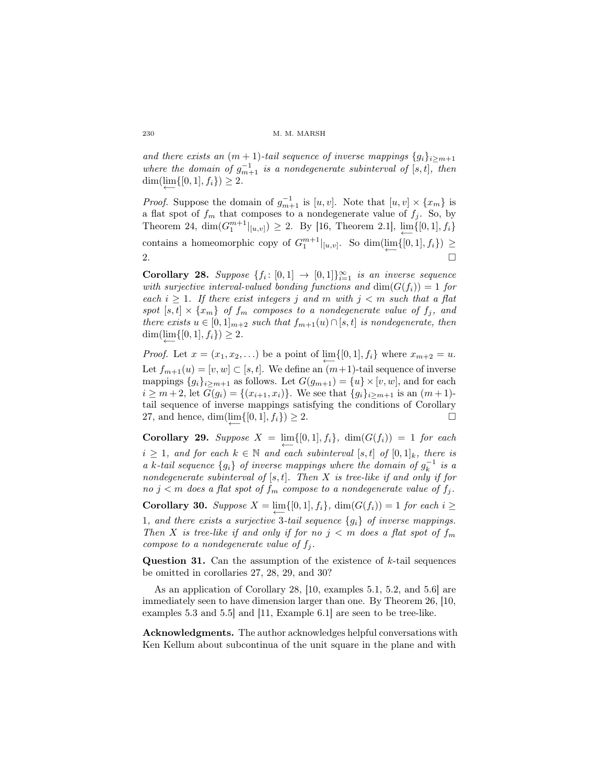*and there exists an*  $(m + 1)$ *-tail sequence of inverse mappings*  $\{g_i\}_{i \geq m+1}$ *where the domain of*  $g_{m+1}^{-1}$  *is a nondegenerate subinterval of* [*s,t*], *then*  $\dim(\lim\{0,1\}, f_i\}) \geq 2.$ 

*Proof.* Suppose the domain of  $g_{m+1}^{-1}$  is [*u, v*]. Note that [*u, v*]  $\times \{x_m\}$  is a flat spot of  $f_m$  that composes to a nondegenerate value of  $f_j$ . So, by Theorem 24,  $\dim(G_1^{m+1}|_{[u,v]}) \geq 2$ . By [16, Theorem 2.1],  $\lim_{t \to \infty} \{[0,1], f_i\}$ contains a homeomorphic copy of  $G_1^{m+1}|_{[u,v]}$ . So  $\dim(\lim_{\longleftarrow} \{[0,1], f_i\}) \ge$ 2.

**Corollary 28.** Suppose  $\{f_i: [0,1] \rightarrow [0,1]\}_{i=1}^{\infty}$  is an inverse sequence *with surjective interval-valued bonding functions and*  $dim(G(f_i)) = 1$  *for*  $\text{each } i \geq 1$ . If there exist integers *j* and *m* with  $j < m$  such that a flat *spot*  $[s, t] \times \{x_m\}$  *of*  $f_m$  *composes to a nondegenerate value of*  $f_j$ *, and there exists*  $u \in [0,1]_{m+2}$  *such that*  $f_{m+1}(u) \cap [s,t]$  *is nondegenerate, then*  $\dim(\lim\{0,1\}, f_i\}) \geq 2.$ *←−*

*Proof.* Let  $x = (x_1, x_2, \ldots)$  be a point of  $\lim_{n \to \infty} \{[0, 1], f_i\}$  where  $x_{m+2} = u$ . Let  $f_{m+1}(u) = [v, w] \subset [s, t]$ . We define an  $(m+1)$ -tail sequence of inverse mappings  ${g_i}_{i \geq m+1}$  as follows. Let  $G(g_{m+1}) = {u} \times [v, w]$ , and for each  $i \geq m+2$ , let  $G(g_i) = \{(x_{i+1}, x_i)\}\$ . We see that  $\{g_i\}_{i \geq m+1}$  is an  $(m+1)$ tail sequence of inverse mappings satisfying the conditions of Corollary 27, and hence, dim(lim{[0,1]*, f<sub>i</sub>*})  $\geq$  2.

**Corollary 29.** Suppose  $X = \lim\{0, 1\}$ ,  $f_i\}$ ,  $\dim(G(f_i)) = 1$  *for each i* ≥ 1*, and for each*  $k \in \mathbb{N}$  *and each subinterval* [*s,t*] *of* [0*,* 1]<sub>*k, there is*</sub> *a k*-tail sequence  $\{g_i\}$  *of inverse mappings where the domain of*  $g_k^{-1}$  *is a nondegenerate subinterval of* [*s, t*]*. Then X is tree-like if and only if for no*  $j < m$  *does a flat spot of*  $f_m$  *compose to a nondegenerate value of*  $f_j$ *.* 

*←−*

**Corollary 30.** *Suppose*  $X = \lim\{0, 1\}$ ,  $f_i\}$ ,  $\dim(G(f_i)) = 1$  *for each*  $i \geq$ 

*←−* 1*, and there exists a surjective* 3*-tail sequence {gi} of inverse mappings. Then X is tree-like if and only if for no*  $j < m$  *does a flat spot of*  $f_m$ *compose to a nondegenerate value of*  $f_i$ .

Question 31. Can the assumption of the existence of *k*-tail sequences be omitted in corollaries 27, 28, 29, and 30?

As an application of Corollary 28, [10, examples 5.1, 5.2, and 5.6] are immediately seen to have dimension larger than one. By Theorem 26, [10, examples 5.3 and 5.5] and [11, Example 6.1] are seen to be tree-like.

Acknowledgments. The author acknowledges helpful conversations with Ken Kellum about subcontinua of the unit square in the plane and with

*←−*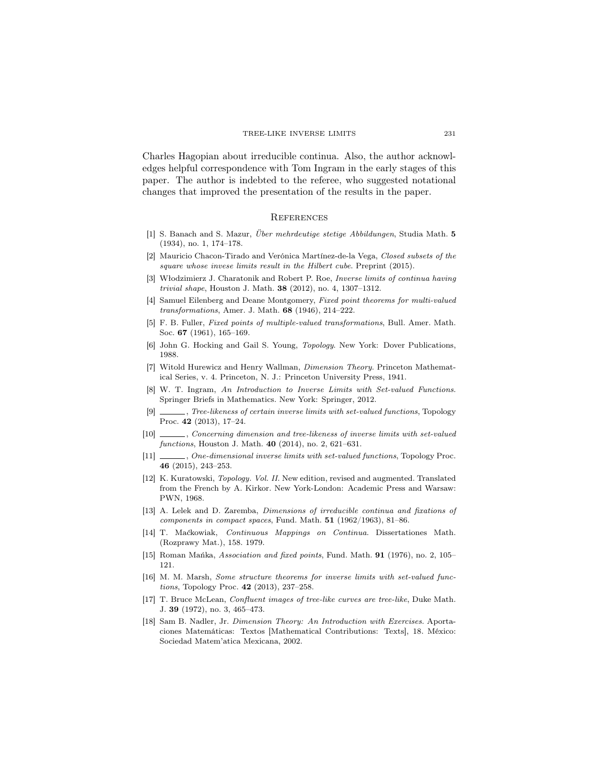Charles Hagopian about irreducible continua. Also, the author acknowledges helpful correspondence with Tom Ingram in the early stages of this paper. The author is indebted to the referee, who suggested notational changes that improved the presentation of the results in the paper.

## **REFERENCES**

- [1] S. Banach and S. Mazur, *Über mehrdeutige stetige Abbildungen*, Studia Math. 5 (1934), no. 1, 174–178.
- [2] Mauricio Chacon-Tirado and Verónica Martínez-de-la Vega, *Closed subsets of the square whose invese limits result in the Hilbert cube*. Preprint (2015).
- [3] Włodzimierz J. Charatonik and Robert P. Roe, *Inverse limits of continua having trivial shape*, Houston J. Math. 38 (2012), no. 4, 1307–1312.
- [4] Samuel Eilenberg and Deane Montgomery, *Fixed point theorems for multi-valued transformations*, Amer. J. Math. 68 (1946), 214–222.
- [5] F. B. Fuller, *Fixed points of multiple-valued transformations*, Bull. Amer. Math. Soc. 67 (1961), 165–169.
- [6] John G. Hocking and Gail S. Young, *Topology*. New York: Dover Publications, 1988.
- [7] Witold Hurewicz and Henry Wallman, *Dimension Theory*. Princeton Mathematical Series, v. 4. Princeton, N. J.: Princeton University Press, 1941.
- [8] W. T. Ingram, *An Introduction to Inverse Limits with Set-valued Functions*. Springer Briefs in Mathematics. New York: Springer, 2012.
- [9] , *Tree-likeness of certain inverse limits with set-valued functions*, Topology Proc. 42 (2013), 17–24.
- [10] , *Concerning dimension and tree-likeness of inverse limits with set-valued functions*, Houston J. Math. 40 (2014), no. 2, 621–631.
- [11] , *One-dimensional inverse limits with set-valued functions*, Topology Proc. 46 (2015), 243–253.
- [12] K. Kuratowski, *Topology. Vol. II*. New edition, revised and augmented. Translated from the French by A. Kirkor. New York-London: Academic Press and Warsaw: PWN, 1968.
- [13] A. Lelek and D. Zaremba, *Dimensions of irreducible continua and fixations of components in compact spaces*, Fund. Math. 51 (1962/1963), 81–86.
- [14] T. Maćkowiak, *Continuous Mappings on Continua*. Dissertationes Math. (Rozprawy Mat.), 158. 1979.
- [15] Roman Mańka, *Association and fixed points*, Fund. Math. 91 (1976), no. 2, 105– 121.
- [16] M. M. Marsh, *Some structure theorems for inverse limits with set-valued functions*, Topology Proc. 42 (2013), 237–258.
- [17] T. Bruce McLean, *Confluent images of tree-like curves are tree-like*, Duke Math. J. 39 (1972), no. 3, 465–473.
- [18] Sam B. Nadler, Jr. *Dimension Theory: An Introduction with Exercises*. Aportaciones Matemáticas: Textos [Mathematical Contributions: Texts], 18. México: Sociedad Matem'atica Mexicana, 2002.